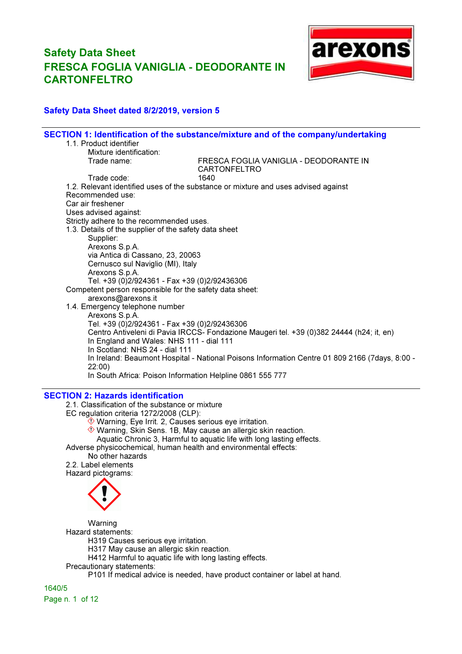

## Safety Data Sheet dated 8/2/2019, version 5

|                                                                               | SECTION 1: Identification of the substance/mixture and of the company/undertaking              |
|-------------------------------------------------------------------------------|------------------------------------------------------------------------------------------------|
| 1.1. Product identifier                                                       |                                                                                                |
| Mixture identification:                                                       |                                                                                                |
| Trade name:                                                                   | FRESCA FOGLIA VANIGLIA - DEODORANTE IN<br><b>CARTONFELTRO</b>                                  |
| Trade code:                                                                   | 1640                                                                                           |
|                                                                               | 1.2. Relevant identified uses of the substance or mixture and uses advised against             |
| Recommended use:                                                              |                                                                                                |
| Car air freshener                                                             |                                                                                                |
| Uses advised against:                                                         |                                                                                                |
| Strictly adhere to the recommended uses.                                      |                                                                                                |
| 1.3. Details of the supplier of the safety data sheet                         |                                                                                                |
| Supplier:                                                                     |                                                                                                |
| Arexons S.p.A.                                                                |                                                                                                |
| via Antica di Cassano, 23, 20063                                              |                                                                                                |
| Cernusco sul Naviglio (MI), Italy                                             |                                                                                                |
| Arexons S.p.A.                                                                |                                                                                                |
| Tel. +39 (0)2/924361 - Fax +39 (0)2/92436306                                  |                                                                                                |
| Competent person responsible for the safety data sheet:<br>arexons@arexons.it |                                                                                                |
| 1.4. Emergency telephone number                                               |                                                                                                |
| Arexons S.p.A.                                                                |                                                                                                |
| Tel. +39 (0)2/924361 - Fax +39 (0)2/92436306                                  |                                                                                                |
|                                                                               | Centro Antiveleni di Pavia IRCCS- Fondazione Maugeri tel. +39 (0)382 24444 (h24; it, en)       |
| In England and Wales: NHS 111 - dial 111                                      |                                                                                                |
| In Scotland: NHS 24 - dial 111                                                |                                                                                                |
|                                                                               | In Ireland: Beaumont Hospital - National Poisons Information Centre 01 809 2166 (7days, 8:00 - |
| 22:00)                                                                        |                                                                                                |
| In South Africa: Poison Information Helpline 0861 555 777                     |                                                                                                |
|                                                                               |                                                                                                |

### SECTION 2: Hazards identification

2.1. Classification of the substance or mixture

EC regulation criteria 1272/2008 (CLP):

 $\overset{\circ}{\otimes}$  Warning, Eye Irrit. 2, Causes serious eye irritation.

Warning, Skin Sens. 1B, May cause an allergic skin reaction.

Aquatic Chronic 3, Harmful to aquatic life with long lasting effects.

Adverse physicochemical, human health and environmental effects:

### No other hazards

2.2. Label elements Hazard pictograms:



Warning

Hazard statements:

H319 Causes serious eye irritation.

H317 May cause an allergic skin reaction.

H412 Harmful to aquatic life with long lasting effects.

### Precautionary statements:

P101 If medical advice is needed, have product container or label at hand.

1640/5 Page n. 1 of 12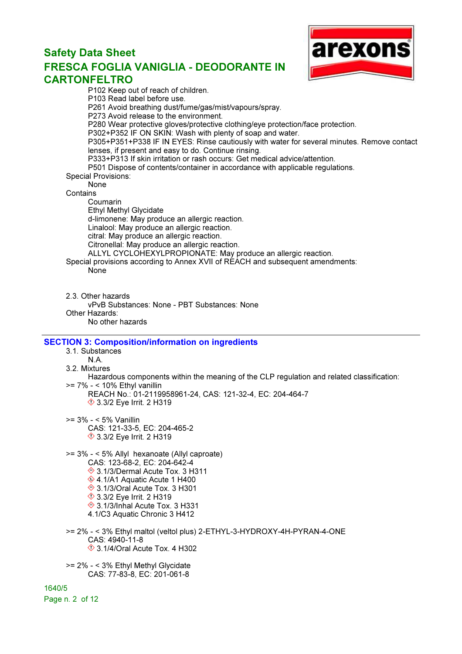

P102 Keep out of reach of children. P103 Read label before use. P261 Avoid breathing dust/fume/gas/mist/vapours/spray. P273 Avoid release to the environment. P280 Wear protective gloves/protective clothing/eye protection/face protection. P302+P352 IF ON SKIN: Wash with plenty of soap and water. P305+P351+P338 IF IN EYES: Rinse cautiously with water for several minutes. Remove contact lenses, if present and easy to do. Continue rinsing. P333+P313 If skin irritation or rash occurs: Get medical advice/attention. P501 Dispose of contents/container in accordance with applicable regulations. Special Provisions: None **Contains** Coumarin Ethyl Methyl Glycidate d-limonene: May produce an allergic reaction. Linalool: May produce an allergic reaction. citral: May produce an allergic reaction. Citronellal: May produce an allergic reaction. ALLYL CYCLOHEXYLPROPIONATE: May produce an allergic reaction. Special provisions according to Annex XVII of REACH and subsequent amendments: None 2.3. Other hazards vPvB Substances: None - PBT Substances: None Other Hazards: No other hazards SECTION 3: Composition/information on ingredients 3.1. Substances N.A. 3.2. Mixtures Hazardous components within the meaning of the CLP regulation and related classification: >= 7% - < 10% Ethyl vanillin REACH No.: 01-2119958961-24, CAS: 121-32-4, EC: 204-464-7 **♦ 3.3/2 Eye Irrit. 2 H319** >= 3% - < 5% Vanillin CAS: 121-33-5, EC: 204-465-2 **♦ 3.3/2 Eye Irrit. 2 H319** >= 3% - < 5% Allyl hexanoate (Allyl caproate) CAS: 123-68-2, EC: 204-642-4 3.1/3/Dermal Acute Tox. 3 H311 ♦ 4.1/A1 Aquatic Acute 1 H400 **♦ 3.1/3/Oral Acute Tox. 3 H301 ♦ 3.3/2 Eye Irrit. 2 H319**  3.1/3/Inhal Acute Tox. 3 H331 4.1/C3 Aquatic Chronic 3 H412 >= 2% - < 3% Ethyl maltol (veltol plus) 2-ETHYL-3-HYDROXY-4H-PYRAN-4-ONE CAS: 4940-11-8 3.1/4/Oral Acute Tox. 4 H302 >= 2% - < 3% Ethyl Methyl Glycidate CAS: 77-83-8, EC: 201-061-8 1640/5

Page n. 2 of 12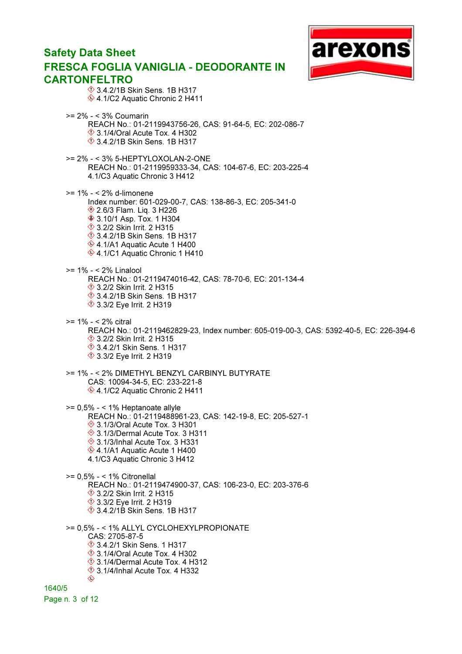## arexon Safety Data Sheet FRESCA FOGLIA VANIGLIA - DEODORANTE IN CARTONFELTRO **1**3.4.2/1B Skin Sens. 1B H317 ♦ 4.1/C2 Aquatic Chronic 2 H411 >= 2% - < 3% Coumarin REACH No.: 01-2119943756-26, CAS: 91-64-5, EC: 202-086-7  $\Diamond$  3.1/4/Oral Acute Tox. 4 H302 3.4.2/1B Skin Sens. 1B H317 >= 2% - < 3% 5-HEPTYLOXOLAN-2-ONE REACH No.: 01-2119959333-34, CAS: 104-67-6, EC: 203-225-4 4.1/C3 Aquatic Chronic 3 H412 >= 1% - < 2% d-limonene Index number: 601-029-00-7, CAS: 138-86-3, EC: 205-341-0 2.6/3 Flam. Liq. 3 H226 **♦ 3.10/1 Asp. Tox. 1 H304 13.2/2 Skin Irrit. 2 H315 ♦ 3.4.2/1B Skin Sens. 1B H317**  $\hat{\textcirc}$  4.1/A1 Aquatic Acute 1 H400 ♦ 4.1/C1 Aquatic Chronic 1 H410 >= 1% - < 2% Linalool REACH No.: 01-2119474016-42, CAS: 78-70-6, EC: 201-134-4 **♦ 3.2/2 Skin Irrit. 2 H315**  3.4.2/1B Skin Sens. 1B H317 **♦ 3.3/2 Eye Irrit. 2 H319** >= 1% - < 2% citral REACH No.: 01-2119462829-23, Index number: 605-019-00-3, CAS: 5392-40-5, EC: 226-394-6 **♦ 3.2/2 Skin Irrit. 2 H315**  3.4.2/1 Skin Sens. 1 H317 **♦ 3.3/2 Eye Irrit. 2 H319** >= 1% - < 2% DIMETHYL BENZYL CARBINYL BUTYRATE CAS: 10094-34-5, EC: 233-221-8 ♦ 4.1/C2 Aquatic Chronic 2 H411  $>= 0.5\% - < 1\%$  Heptanoate allyle REACH No.: 01-2119488961-23, CAS: 142-19-8, EC: 205-527-1 **♦ 3.1/3/Oral Acute Tox. 3 H301** ◆ 3.1/3/Dermal Acute Tox. 3 H311 ◆ 3.1/3/Inhal Acute Tox. 3 H331 4.1/A1 Aquatic Acute 1 H400 4.1/C3 Aquatic Chronic 3 H412 >= 0,5% - < 1% Citronellal REACH No.: 01-2119474900-37, CAS: 106-23-0, EC: 203-376-6 **♦ 3.2/2 Skin Irrit. 2 H315 ♦ 3.3/2 Eye Irrit. 2 H319**  $\hat{\textcirc}$  3.4.2/1B Skin Sens. 1B H317 >= 0,5% - < 1% ALLYL CYCLOHEXYLPROPIONATE CAS: 2705-87-5 **1** 3.4.2/1 Skin Sens. 1 H317  $\Diamond$  3.1/4/Oral Acute Tox. 4 H302  $\Diamond$  3.1/4/Dermal Acute Tox. 4 H312  $\frac{\textcircled{1}}{\textcircled{2}}$  3.1/4/Inhal Acute Tox. 4 H332 1640/5 Page n. 3 of 12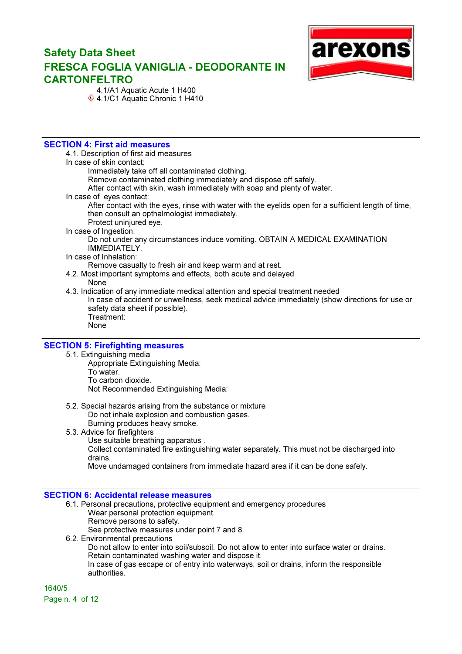

 4.1/A1 Aquatic Acute 1 H400  $*$  4.1/C1 Aquatic Chronic 1 H410

### SECTION 4: First aid measures

4.1. Description of first aid measures

In case of skin contact:

Immediately take off all contaminated clothing.

Remove contaminated clothing immediately and dispose off safely.

After contact with skin, wash immediately with soap and plenty of water.

In case of eyes contact:

After contact with the eyes, rinse with water with the eyelids open for a sufficient length of time, then consult an opthalmologist immediately.

Protect uninjured eye.

#### In case of Ingestion:

Do not under any circumstances induce vomiting. OBTAIN A MEDICAL EXAMINATION IMMEDIATELY.

#### In case of Inhalation:

Remove casualty to fresh air and keep warm and at rest.

4.2. Most important symptoms and effects, both acute and delayed

#### None

- 4.3. Indication of any immediate medical attention and special treatment needed In case of accident or unwellness, seek medical advice immediately (show directions for use or safety data sheet if possible). Treatment:
	- None

#### SECTION 5: Firefighting measures

- 5.1. Extinguishing media
	- Appropriate Extinguishing Media: To water. To carbon dioxide. Not Recommended Extinguishing Media:
- 5.2. Special hazards arising from the substance or mixture Do not inhale explosion and combustion gases.
	- Burning produces heavy smoke.
- 5.3. Advice for firefighters
	- Use suitable breathing apparatus .

Collect contaminated fire extinguishing water separately. This must not be discharged into drains.

Move undamaged containers from immediate hazard area if it can be done safely.

#### SECTION 6: Accidental release measures

- 6.1. Personal precautions, protective equipment and emergency procedures Wear personal protection equipment.
	- Remove persons to safety.

See protective measures under point 7 and 8.

- 6.2. Environmental precautions
	- Do not allow to enter into soil/subsoil. Do not allow to enter into surface water or drains. Retain contaminated washing water and dispose it.

In case of gas escape or of entry into waterways, soil or drains, inform the responsible authorities.

1640/5 Page n. 4 of 12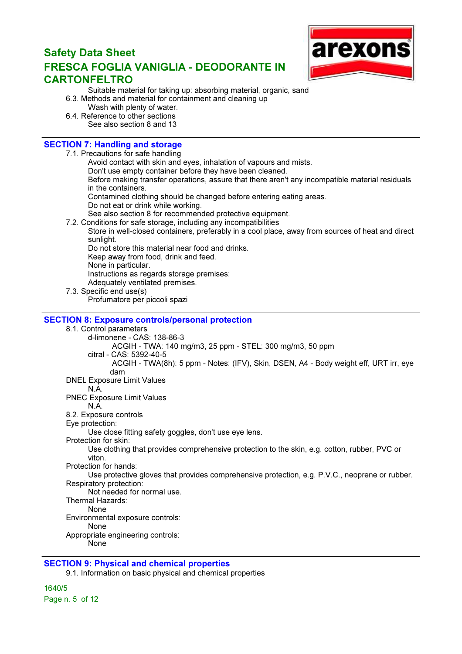

- Suitable material for taking up: absorbing material, organic, sand
- 6.3. Methods and material for containment and cleaning up
	- Wash with plenty of water.
- 6.4. Reference to other sections See also section 8 and 13

## SECTION 7: Handling and storage

7.1. Precautions for safe handling

- Avoid contact with skin and eyes, inhalation of vapours and mists.
- Don't use empty container before they have been cleaned.
- Before making transfer operations, assure that there aren't any incompatible material residuals in the containers.
- Contamined clothing should be changed before entering eating areas.
- Do not eat or drink while working.
- See also section 8 for recommended protective equipment.
- 7.2. Conditions for safe storage, including any incompatibilities
	- Store in well-closed containers, preferably in a cool place, away from sources of heat and direct sunlight.

Do not store this material near food and drinks. Keep away from food, drink and feed.

None in particular.

Instructions as regards storage premises:

- Adequately ventilated premises.
- 7.3. Specific end use(s)

Profumatore per piccoli spazi

### SECTION 8: Exposure controls/personal protection

### 8.1. Control parameters

- d-limonene CAS: 138-86-3
	- ACGIH TWA: 140 mg/m3, 25 ppm STEL: 300 mg/m3, 50 ppm
	- citral CAS: 5392-40-5
		- ACGIH TWA(8h): 5 ppm Notes: (IFV), Skin, DSEN, A4 Body weight eff, URT irr, eye dam
- DNEL Exposure Limit Values

### N.A.

- PNEC Exposure Limit Values
- N.A.
- 8.2. Exposure controls
- Eye protection:

Use close fitting safety goggles, don't use eye lens.

Protection for skin:

Use clothing that provides comprehensive protection to the skin, e.g. cotton, rubber, PVC or viton.

Protection for hands:

Use protective gloves that provides comprehensive protection, e.g. P.V.C., neoprene or rubber. Respiratory protection:

Not needed for normal use.

Thermal Hazards:

None

Environmental exposure controls:

None

Appropriate engineering controls:

None

## SECTION 9: Physical and chemical properties

9.1. Information on basic physical and chemical properties

1640/5 Page n. 5 of 12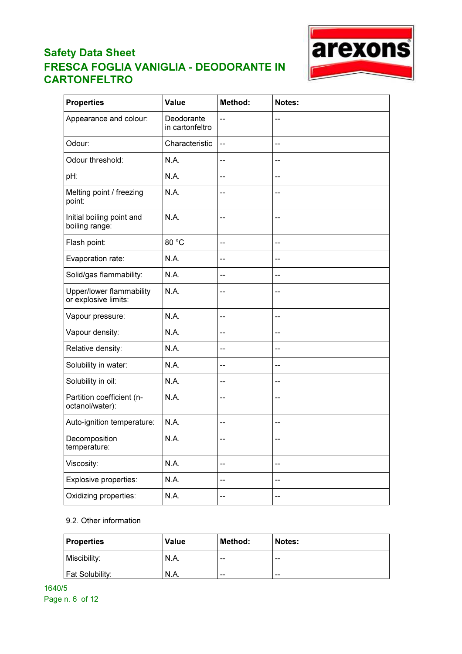

| <b>Properties</b>                                | <b>Value</b>                  | <b>Method:</b> | Notes: |
|--------------------------------------------------|-------------------------------|----------------|--------|
| Appearance and colour:                           | Deodorante<br>in cartonfeltro | --             |        |
| Odour:                                           | Characteristic                | --             | --     |
| Odour threshold:                                 | N.A.                          | --             |        |
| pH:                                              | N.A.                          | --             | --     |
| Melting point / freezing<br>point:               | N.A.                          |                |        |
| Initial boiling point and<br>boiling range:      | N.A.                          | --             | --     |
| Flash point:                                     | 80 °C                         | --             | --     |
| Evaporation rate:                                | N.A.                          | --             |        |
| Solid/gas flammability:                          | N.A.                          | --             | --     |
| Upper/lower flammability<br>or explosive limits: | N.A.                          | --             |        |
| Vapour pressure:                                 | N.A.                          | --             | --     |
| Vapour density:                                  | N.A.                          | --             |        |
| Relative density:                                | N.A.                          | --             | --     |
| Solubility in water:                             | N.A.                          | --             | --     |
| Solubility in oil:                               | <b>N.A.</b>                   | --             | --     |
| Partition coefficient (n-<br>octanol/water):     | N.A.                          |                |        |
| Auto-ignition temperature:                       | N.A.                          | --             | --     |
| Decomposition<br>temperature:                    | N.A.                          | --             | --     |
| Viscosity:                                       | N.A.                          | --             | --     |
| Explosive properties:                            | N.A.                          | --             | --     |
| Oxidizing properties:                            | N.A.                          | --             |        |

### 9.2. Other information

| Properties             | <b>Value</b> | Method: | Notes: |
|------------------------|--------------|---------|--------|
| Miscibility:           | N.A.         | $- -$   | $- -$  |
| <b>Fat Solubility:</b> | 'N.A.        | $- -$   | $- -$  |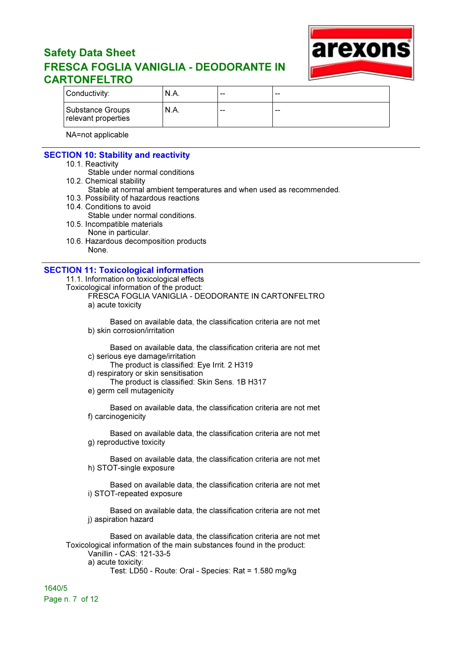

| Conductivity:                           | ' N.A. | $- -$ | -- |
|-----------------------------------------|--------|-------|----|
| Substance Groups<br>relevant properties | `N.A.  | $- -$ | -- |

NA=not applicable

### SECTION 10: Stability and reactivity

- 10.1. Reactivity
	- Stable under normal conditions
- 10.2. Chemical stability
- Stable at normal ambient temperatures and when used as recommended.
- 10.3. Possibility of hazardous reactions
- 10.4. Conditions to avoid
- Stable under normal conditions. 10.5. Incompatible materials
	- None in particular.
- 10.6. Hazardous decomposition products None.

#### SECTION 11: Toxicological information

11.1. Information on toxicological effects

Toxicological information of the product:

FRESCA FOGLIA VANIGLIA - DEODORANTE IN CARTONFELTRO a) acute toxicity

Based on available data, the classification criteria are not met b) skin corrosion/irritation

Based on available data, the classification criteria are not met c) serious eye damage/irritation

- The product is classified: Eye Irrit. 2 H319
- d) respiratory or skin sensitisation
- The product is classified: Skin Sens. 1B H317
- e) germ cell mutagenicity

Based on available data, the classification criteria are not met f) carcinogenicity

Based on available data, the classification criteria are not met g) reproductive toxicity

Based on available data, the classification criteria are not met h) STOT-single exposure

Based on available data, the classification criteria are not met i) STOT-repeated exposure

Based on available data, the classification criteria are not met j) aspiration hazard

Based on available data, the classification criteria are not met Toxicological information of the main substances found in the product: Vanillin - CAS: 121-33-5

a) acute toxicity:

Test: LD50 - Route: Oral - Species: Rat = 1.580 mg/kg

1640/5 Page n. 7 of 12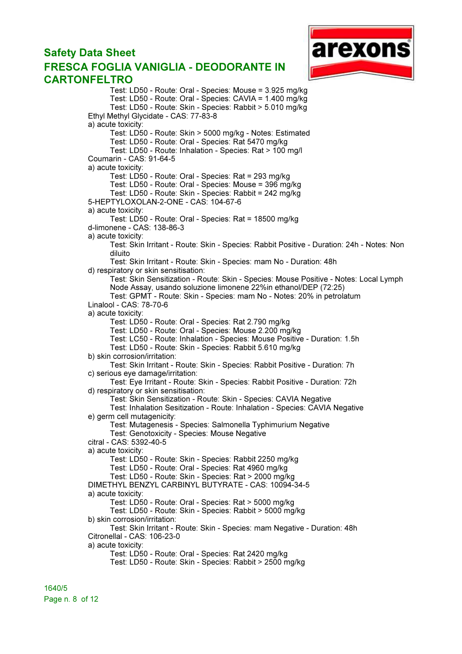# Safety Data Sheet

# FRESCA FOGLIA VANIGLIA - DEODORANTE IN CARTONFELTRO



Test: LD50 - Route: Oral - Species: Mouse = 3.925 mg/kg Test: LD50 - Route: Oral - Species: CAVIA = 1.400 mg/kg Test: LD50 - Route: Skin - Species: Rabbit > 5.010 mg/kg Ethyl Methyl Glycidate - CAS: 77-83-8 a) acute toxicity: Test: LD50 - Route: Skin > 5000 mg/kg - Notes: Estimated Test: LD50 - Route: Oral - Species: Rat 5470 mg/kg Test: LD50 - Route: Inhalation - Species: Rat > 100 mg/l Coumarin - CAS: 91-64-5 a) acute toxicity: Test: LD50 - Route: Oral - Species: Rat = 293 mg/kg Test: LD50 - Route: Oral - Species: Mouse = 396 mg/kg Test: LD50 - Route: Skin - Species: Rabbit = 242 mg/kg 5-HEPTYLOXOLAN-2-ONE - CAS: 104-67-6 a) acute toxicity: Test: LD50 - Route: Oral - Species: Rat = 18500 mg/kg d-limonene - CAS: 138-86-3 a) acute toxicity: Test: Skin Irritant - Route: Skin - Species: Rabbit Positive - Duration: 24h - Notes: Non diluito Test: Skin Irritant - Route: Skin - Species: mam No - Duration: 48h d) respiratory or skin sensitisation: Test: Skin Sensitization - Route: Skin - Species: Mouse Positive - Notes: Local Lymph Node Assay, usando soluzione limonene 22%in ethanol/DEP (72:25) Test: GPMT - Route: Skin - Species: mam No - Notes: 20% in petrolatum Linalool - CAS: 78-70-6 a) acute toxicity: Test: LD50 - Route: Oral - Species: Rat 2.790 mg/kg Test: LD50 - Route: Oral - Species: Mouse 2.200 mg/kg Test: LC50 - Route: Inhalation - Species: Mouse Positive - Duration: 1.5h Test: LD50 - Route: Skin - Species: Rabbit 5.610 mg/kg b) skin corrosion/irritation: Test: Skin Irritant - Route: Skin - Species: Rabbit Positive - Duration: 7h c) serious eye damage/irritation: Test: Eye Irritant - Route: Skin - Species: Rabbit Positive - Duration: 72h d) respiratory or skin sensitisation: Test: Skin Sensitization - Route: Skin - Species: CAVIA Negative Test: Inhalation Sesitization - Route: Inhalation - Species: CAVIA Negative e) germ cell mutagenicity: Test: Mutagenesis - Species: Salmonella Typhimurium Negative Test: Genotoxicity - Species: Mouse Negative citral - CAS: 5392-40-5 a) acute toxicity: Test: LD50 - Route: Skin - Species: Rabbit 2250 mg/kg Test: LD50 - Route: Oral - Species: Rat 4960 mg/kg Test: LD50 - Route: Skin - Species: Rat > 2000 mg/kg DIMETHYL BENZYL CARBINYL BUTYRATE - CAS: 10094-34-5 a) acute toxicity: Test: LD50 - Route: Oral - Species: Rat > 5000 mg/kg Test: LD50 - Route: Skin - Species: Rabbit > 5000 mg/kg b) skin corrosion/irritation: Test: Skin Irritant - Route: Skin - Species: mam Negative - Duration: 48h Citronellal - CAS: 106-23-0 a) acute toxicity: Test: LD50 - Route: Oral - Species: Rat 2420 mg/kg Test: LD50 - Route: Skin - Species: Rabbit > 2500 mg/kg

1640/5 Page n. 8 of 12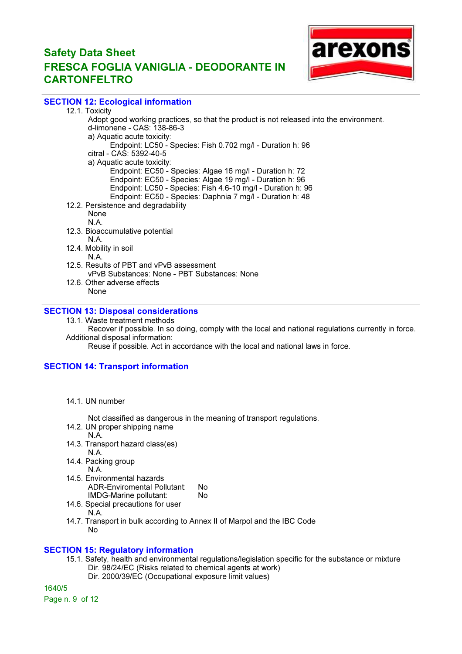

## SECTION 12: Ecological information

12.1. Toxicity Adopt good working practices, so that the product is not released into the environment. d-limonene - CAS: 138-86-3 a) Aquatic acute toxicity: Endpoint: LC50 - Species: Fish 0.702 mg/l - Duration h: 96 citral - CAS: 5392-40-5 a) Aquatic acute toxicity: Endpoint: EC50 - Species: Algae 16 mg/l - Duration h: 72 Endpoint: EC50 - Species: Algae 19 mg/l - Duration h: 96 Endpoint: LC50 - Species: Fish 4.6-10 mg/l - Duration h: 96 Endpoint: EC50 - Species: Daphnia 7 mg/l - Duration h: 48 12.2. Persistence and degradability None N.A. 12.3. Bioaccumulative potential N.A. 12.4. Mobility in soil N.A. 12.5. Results of PBT and vPvB assessment vPvB Substances: None - PBT Substances: None 12.6. Other adverse effects None

## SECTION 13: Disposal considerations

13.1. Waste treatment methods

Recover if possible. In so doing, comply with the local and national regulations currently in force. Additional disposal information:

Reuse if possible. Act in accordance with the local and national laws in force.

### SECTION 14: Transport information

14.1. UN number

Not classified as dangerous in the meaning of transport regulations.

- 14.2. UN proper shipping name
- N.A.
- 14.3. Transport hazard class(es) N.A.
- 14.4. Packing group
	- N.A.
- 14.5. Environmental hazards ADR-Enviromental Pollutant: No IMDG-Marine pollutant: No
- 14.6. Special precautions for user N.A.
- 14.7. Transport in bulk according to Annex II of Marpol and the IBC Code No

# SECTION 15: Regulatory information

15.1. Safety, health and environmental regulations/legislation specific for the substance or mixture Dir. 98/24/EC (Risks related to chemical agents at work)

Dir. 2000/39/EC (Occupational exposure limit values)

1640/5

Page n. 9 of 12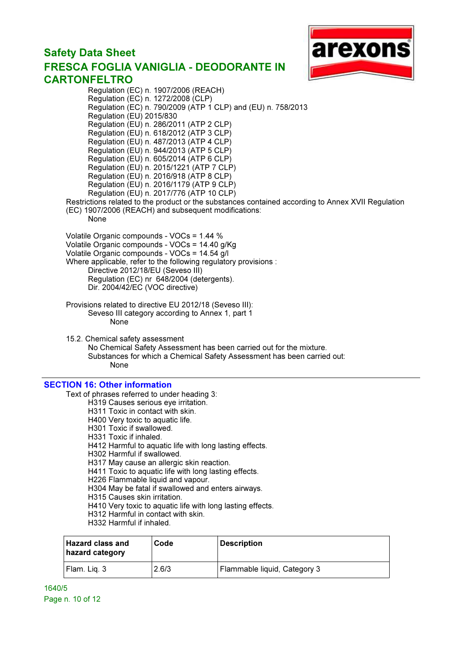# Safety Data Sheet FRESCA FOGLIA VANIGLIA - DEODORANTE IN CARTONFELTRO Regulation (EC) n. 1907/2006 (REACH)



Regulation (EC) n. 1272/2008 (CLP) Regulation (EC) n. 790/2009 (ATP 1 CLP) and (EU) n. 758/2013 Regulation (EU) 2015/830 Regulation (EU) n. 286/2011 (ATP 2 CLP) Regulation (EU) n. 618/2012 (ATP 3 CLP) Regulation (EU) n. 487/2013 (ATP 4 CLP) Regulation (EU) n. 944/2013 (ATP 5 CLP) Regulation (EU) n. 605/2014 (ATP 6 CLP) Regulation (EU) n. 2015/1221 (ATP 7 CLP) Regulation (EU) n. 2016/918 (ATP 8 CLP) Regulation (EU) n. 2016/1179 (ATP 9 CLP) Regulation (EU) n. 2017/776 (ATP 10 CLP) Restrictions related to the product or the substances contained according to Annex XVII Regulation (EC) 1907/2006 (REACH) and subsequent modifications: None Volatile Organic compounds - VOCs = 1.44 % Volatile Organic compounds - VOCs = 14.40 g/Kg Volatile Organic compounds - VOCs = 14.54 g/l Where applicable, refer to the following regulatory provisions : Directive 2012/18/EU (Seveso III) Regulation (EC) nr 648/2004 (detergents). Dir. 2004/42/EC (VOC directive) Provisions related to directive EU 2012/18 (Seveso III): Seveso III category according to Annex 1, part 1 None 15.2. Chemical safety assessment No Chemical Safety Assessment has been carried out for the mixture. Substances for which a Chemical Safety Assessment has been carried out: **None** 

#### SECTION 16: Other information

Text of phrases referred to under heading 3:

- H319 Causes serious eye irritation.
- H311 Toxic in contact with skin.
- H400 Very toxic to aquatic life.
- H301 Toxic if swallowed.
- H331 Toxic if inhaled.
- H412 Harmful to aquatic life with long lasting effects.
- H302 Harmful if swallowed.
- H317 May cause an allergic skin reaction.
- H411 Toxic to aquatic life with long lasting effects.
- H226 Flammable liquid and vapour.
- H304 May be fatal if swallowed and enters airways.
- H315 Causes skin irritation.
- H410 Very toxic to aquatic life with long lasting effects.
- H312 Harmful in contact with skin.
- H332 Harmful if inhaled.

| <b>Hazard class and</b><br>hazard category | Code  | <b>Description</b>           |
|--------------------------------------------|-------|------------------------------|
| Flam. Lig. 3                               | 2.6/3 | Flammable liquid, Category 3 |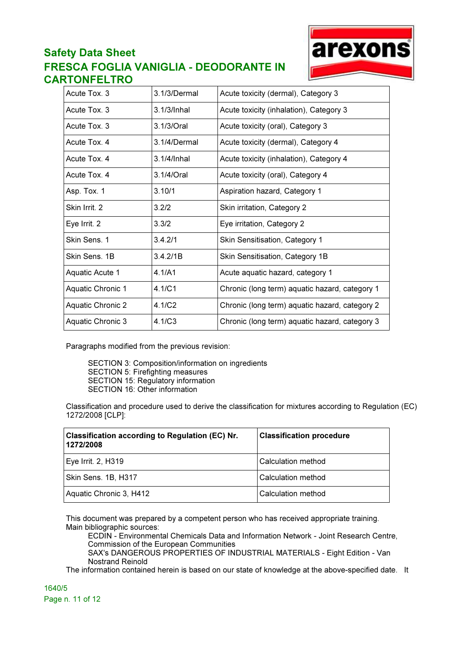

| Acute Tox. 3      | 3.1/3/Dermal   | Acute toxicity (dermal), Category 3            |
|-------------------|----------------|------------------------------------------------|
| Acute Tox. 3      | 3.1/3/Inhal    | Acute toxicity (inhalation), Category 3        |
| Acute Tox. 3      | 3.1/3/Oral     | Acute toxicity (oral), Category 3              |
| Acute Tox, 4      | 3.1/4/Dermal   | Acute toxicity (dermal), Category 4            |
| Acute Tox. 4      | $3.1/4/lnh$ al | Acute toxicity (inhalation), Category 4        |
| Acute Tox. 4      | 3.1/4/Oral     | Acute toxicity (oral), Category 4              |
| Asp. Tox. 1       | 3.10/1         | Aspiration hazard, Category 1                  |
| Skin Irrit. 2     | 3.2/2          | Skin irritation, Category 2                    |
| Eye Irrit. 2      | 3.3/2          | Eye irritation, Category 2                     |
| Skin Sens. 1      | 3.4.2/1        | Skin Sensitisation, Category 1                 |
| Skin Sens, 1B     | 3.4.2/1B       | Skin Sensitisation, Category 1B                |
| Aquatic Acute 1   | 4.1/A1         | Acute aquatic hazard, category 1               |
| Aquatic Chronic 1 | 4.1/C1         | Chronic (long term) aquatic hazard, category 1 |
| Aquatic Chronic 2 | 4.1/C2         | Chronic (long term) aquatic hazard, category 2 |
| Aquatic Chronic 3 | 4.1/C3         | Chronic (long term) aquatic hazard, category 3 |

Paragraphs modified from the previous revision:

SECTION 3: Composition/information on ingredients SECTION 5: Firefighting measures SECTION 15: Regulatory information SECTION 16: Other information

Classification and procedure used to derive the classification for mixtures according to Regulation (EC) 1272/2008 [CLP]:

| <b>Classification according to Regulation (EC) Nr.</b><br>1272/2008 | <b>Classification procedure</b> |
|---------------------------------------------------------------------|---------------------------------|
| Eye Irrit. 2, H319                                                  | Calculation method              |
| Skin Sens. 1B, H317                                                 | Calculation method              |
| Aquatic Chronic 3, H412                                             | Calculation method              |

This document was prepared by a competent person who has received appropriate training. Main bibliographic sources:

ECDIN - Environmental Chemicals Data and Information Network - Joint Research Centre, Commission of the European Communities

SAX's DANGEROUS PROPERTIES OF INDUSTRIAL MATERIALS - Eight Edition - Van Nostrand Reinold

The information contained herein is based on our state of knowledge at the above-specified date. It

1640/5 Page n. 11 of 12